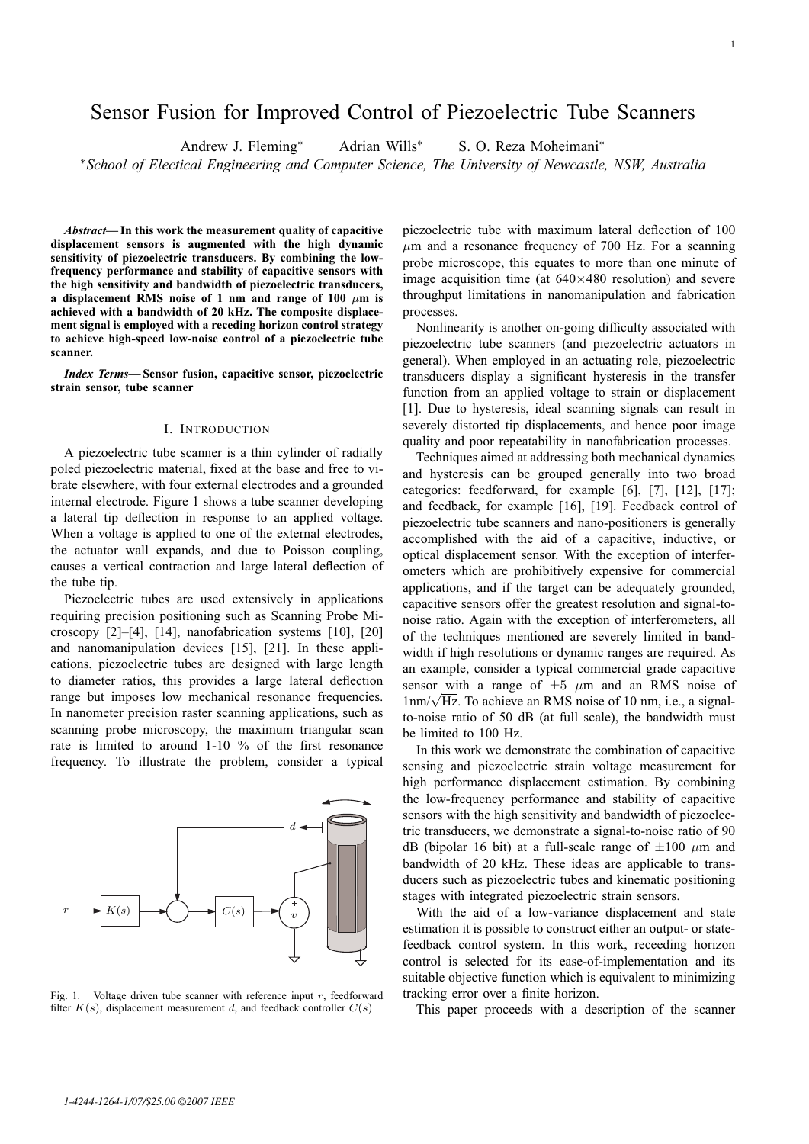# Sensor Fusion for Improved Control of Piezoelectric Tube Scanners

Andrew J. Fleming∗ Adrian Wills∗ S. O. Reza Moheimani∗

∗*School of Electical Engineering and Computer Science, The University of Newcastle, NSW, Australia*

*Abstract***— In this work the measurement quality of capacitive displacement sensors is augmented with the high dynamic sensitivity of piezoelectric transducers. By combining the lowfrequency performance and stability of capacitive sensors with the high sensitivity and bandwidth of piezoelectric transducers, a displacement RMS noise of 1 nm and range of 100** μ**m is achieved with a bandwidth of 20 kHz. The composite displacement signal is employed with a receding horizon control strategy to achieve high-speed low-noise control of a piezoelectric tube scanner.**

*Index Terms***— Sensor fusion, capacitive sensor, piezoelectric strain sensor, tube scanner**

#### I. INTRODUCTION

A piezoelectric tube scanner is a thin cylinder of radially poled piezoelectric material, fixed at the base and free to vibrate elsewhere, with four external electrodes and a grounded internal electrode. Figure 1 shows a tube scanner developing a lateral tip deflection in response to an applied voltage. When a voltage is applied to one of the external electrodes, the actuator wall expands, and due to Poisson coupling, causes a vertical contraction and large lateral deflection of the tube tip.

Piezoelectric tubes are used extensively in applications requiring precision positioning such as Scanning Probe Microscopy [2]–[4], [14], nanofabrication systems [10], [20] and nanomanipulation devices [15], [21]. In these applications, piezoelectric tubes are designed with large length to diameter ratios, this provides a large lateral deflection range but imposes low mechanical resonance frequencies. In nanometer precision raster scanning applications, such as scanning probe microscopy, the maximum triangular scan rate is limited to around 1-10 % of the first resonance frequency. To illustrate the problem, consider a typical



Fig. 1. Voltage driven tube scanner with reference input  $r$ , feedforward filter  $K(s)$ , displacement measurement d, and feedback controller  $C(s)$ 

piezoelectric tube with maximum lateral deflection of 100  $\mu$ m and a resonance frequency of 700 Hz. For a scanning probe microscope, this equates to more than one minute of image acquisition time (at  $640\times480$  resolution) and severe throughput limitations in nanomanipulation and fabrication processes.

Nonlinearity is another on-going difficulty associated with piezoelectric tube scanners (and piezoelectric actuators in general). When employed in an actuating role, piezoelectric transducers display a significant hysteresis in the transfer function from an applied voltage to strain or displacement [1]. Due to hysteresis, ideal scanning signals can result in severely distorted tip displacements, and hence poor image quality and poor repeatability in nanofabrication processes.

Techniques aimed at addressing both mechanical dynamics and hysteresis can be grouped generally into two broad categories: feedforward, for example [6], [7], [12], [17]; and feedback, for example [16], [19]. Feedback control of piezoelectric tube scanners and nano-positioners is generally accomplished with the aid of a capacitive, inductive, or optical displacement sensor. With the exception of interferometers which are prohibitively expensive for commercial applications, and if the target can be adequately grounded, capacitive sensors offer the greatest resolution and signal-tonoise ratio. Again with the exception of interferometers, all of the techniques mentioned are severely limited in bandwidth if high resolutions or dynamic ranges are required. As an example, consider a typical commercial grade capacitive sensor with a range of  $\pm 5$   $\mu$ m and an RMS noise of sensor with a range of  $\pm 5$   $\mu$ m and an KMS noise of  $1 \text{ nm}/\sqrt{\text{Hz}}$ . To achieve an RMS noise of 10 nm, i.e., a signalto-noise ratio of 50 dB (at full scale), the bandwidth must be limited to 100 Hz.

In this work we demonstrate the combination of capacitive sensing and piezoelectric strain voltage measurement for high performance displacement estimation. By combining the low-frequency performance and stability of capacitive sensors with the high sensitivity and bandwidth of piezoelectric transducers, we demonstrate a signal-to-noise ratio of 90 dB (bipolar 16 bit) at a full-scale range of  $\pm 100 \mu m$  and bandwidth of 20 kHz. These ideas are applicable to transducers such as piezoelectric tubes and kinematic positioning stages with integrated piezoelectric strain sensors.

With the aid of a low-variance displacement and state estimation it is possible to construct either an output- or statefeedback control system. In this work, receeding horizon control is selected for its ease-of-implementation and its suitable objective function which is equivalent to minimizing tracking error over a finite horizon.

This paper proceeds with a description of the scanner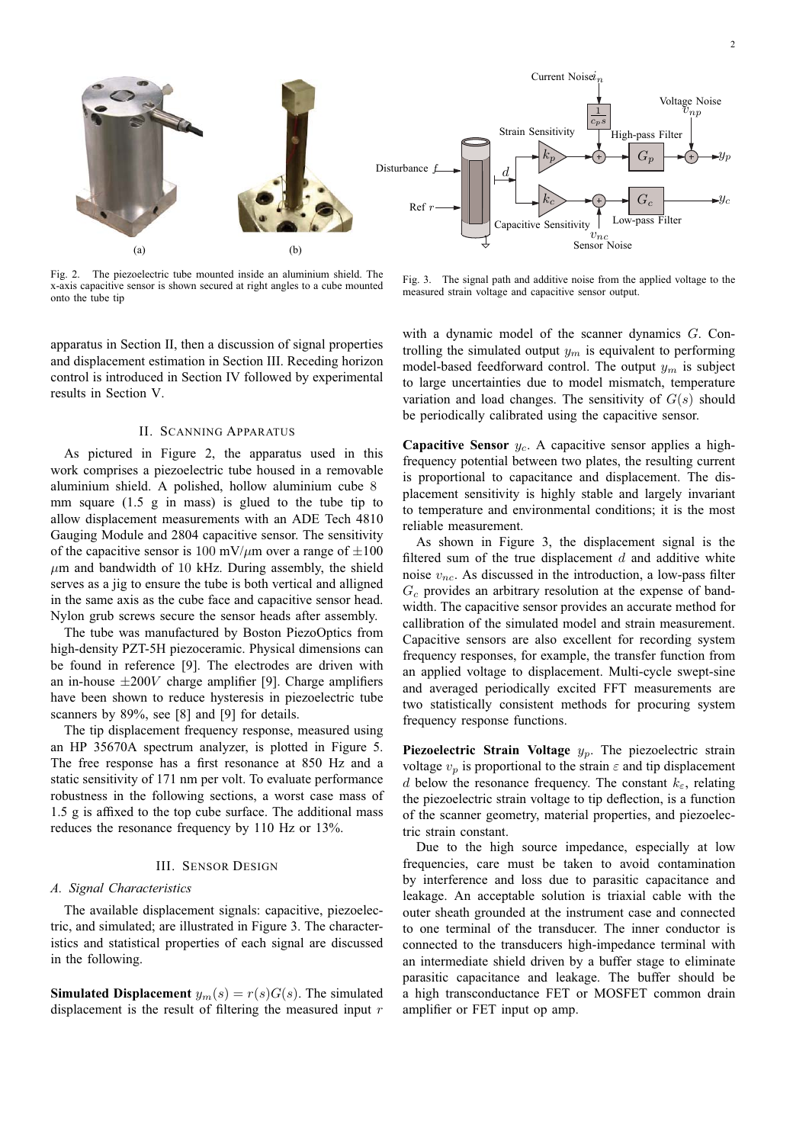

Fig. 2. The piezoelectric tube mounted inside an aluminium shield. The x-axis capacitive sensor is shown secured at right angles to a cube mounted onto the tube tip

apparatus in Section II, then a discussion of signal properties and displacement estimation in Section III. Receding horizon control is introduced in Section IV followed by experimental results in Section V.

## II. SCANNING APPARATUS

As pictured in Figure 2, the apparatus used in this work comprises a piezoelectric tube housed in a removable aluminium shield. A polished, hollow aluminium cube 8 mm square (1.5 g in mass) is glued to the tube tip to allow displacement measurements with an ADE Tech 4810 Gauging Module and 2804 capacitive sensor. The sensitivity of the capacitive sensor is 100 mV/ $\mu$ m over a range of  $\pm 100$  $\mu$ m and bandwidth of 10 kHz. During assembly, the shield serves as a jig to ensure the tube is both vertical and alligned in the same axis as the cube face and capacitive sensor head. Nylon grub screws secure the sensor heads after assembly.

The tube was manufactured by Boston PiezoOptics from high-density PZT-5H piezoceramic. Physical dimensions can be found in reference [9]. The electrodes are driven with an in-house  $\pm 200V$  charge amplifier [9]. Charge amplifiers have been shown to reduce hysteresis in piezoelectric tube scanners by 89%, see [8] and [9] for details.

The tip displacement frequency response, measured using an HP 35670A spectrum analyzer, is plotted in Figure 5. The free response has a first resonance at 850 Hz and a static sensitivity of 171 nm per volt. To evaluate performance robustness in the following sections, a worst case mass of 1.5 g is affixed to the top cube surface. The additional mass reduces the resonance frequency by 110 Hz or 13%.

#### III. SENSOR DESIGN

## *A. Signal Characteristics*

The available displacement signals: capacitive, piezoelectric, and simulated; are illustrated in Figure 3. The characteristics and statistical properties of each signal are discussed in the following.

**Simulated Displacement**  $y_m(s) = r(s)G(s)$ . The simulated displacement is the result of filtering the measured input r



Fig. 3. The signal path and additive noise from the applied voltage to the measured strain voltage and capacitive sensor output.

with a dynamic model of the scanner dynamics G. Controlling the simulated output  $y_m$  is equivalent to performing model-based feedforward control. The output  $y_m$  is subject to large uncertainties due to model mismatch, temperature variation and load changes. The sensitivity of  $G(s)$  should be periodically calibrated using the capacitive sensor.

**Capacitive Sensor**  $y_c$ . A capacitive sensor applies a highfrequency potential between two plates, the resulting current is proportional to capacitance and displacement. The displacement sensitivity is highly stable and largely invariant to temperature and environmental conditions; it is the most reliable measurement.

As shown in Figure 3, the displacement signal is the filtered sum of the true displacement  $d$  and additive white noise  $v_{nc}$ . As discussed in the introduction, a low-pass filter  $G_c$  provides an arbitrary resolution at the expense of bandwidth. The capacitive sensor provides an accurate method for callibration of the simulated model and strain measurement. Capacitive sensors are also excellent for recording system frequency responses, for example, the transfer function from an applied voltage to displacement. Multi-cycle swept-sine and averaged periodically excited FFT measurements are two statistically consistent methods for procuring system frequency response functions.

**Piezoelectric Strain Voltage**  $y_p$ . The piezoelectric strain voltage  $v_p$  is proportional to the strain  $\varepsilon$  and tip displacement d below the resonance frequency. The constant  $k_{\epsilon}$ , relating the piezoelectric strain voltage to tip deflection, is a function of the scanner geometry, material properties, and piezoelectric strain constant.

Due to the high source impedance, especially at low frequencies, care must be taken to avoid contamination by interference and loss due to parasitic capacitance and leakage. An acceptable solution is triaxial cable with the outer sheath grounded at the instrument case and connected to one terminal of the transducer. The inner conductor is connected to the transducers high-impedance terminal with an intermediate shield driven by a buffer stage to eliminate parasitic capacitance and leakage. The buffer should be a high transconductance FET or MOSFET common drain amplifier or FET input op amp.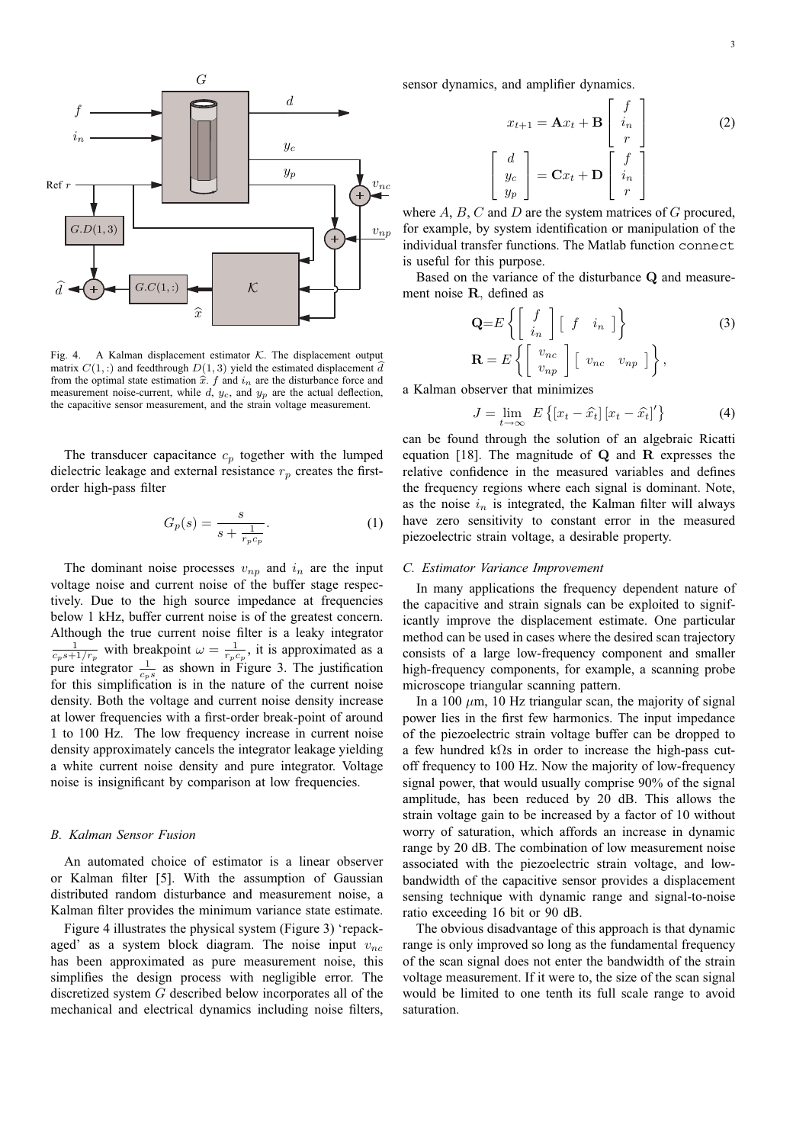

Fig. 4. A Kalman displacement estimator  $K$ . The displacement output matrix  $C(1,.)$  and feedthrough  $D(1,3)$  yield the estimated displacement  $\tilde{d}$ Fig. 4. A Kalman displacement estimator  $K$ . The displacement output matrix  $C(1,:)$  and feedthrough  $D(1,3)$  yield the estimated displacement  $\hat{d}$  from the optimal state estimation  $\hat{x}$ .  $f$  and  $i_n$  are the disturban from the optimal state estimation  $\hat{x}$ .  $f$  and  $i_n$  are the disturbance force and measurement noise-current, while  $d$ ,  $y_c$ , and  $y_p$  are the actual deflection, the capacitive sensor measurement, and the strain voltage measurement.

The transducer capacitance  $c_p$  together with the lumped dielectric leakage and external resistance  $r_p$  creates the firstorder high-pass filter

$$
G_p(s) = \frac{s}{s + \frac{1}{r_p c_p}}.\tag{1}
$$

The dominant noise processes  $v_{np}$  and  $i_n$  are the input voltage noise and current noise of the buffer stage respectively. Due to the high source impedance at frequencies below 1 kHz, buffer current noise is of the greatest concern. Although the true current noise filter is a leaky integrator  $\frac{1}{c_p s + 1/r_p}$  with breakpoint  $\omega = \frac{1}{r_p c_p}$ , it is approximated as a pure integrator  $\frac{1}{c_{p}s}$  as shown in Figure 3. The justification for this simplification is in the nature of the current noise density. Both the voltage and current noise density increase at lower frequencies with a first-order break-point of around 1 to 100 Hz. The low frequency increase in current noise density approximately cancels the integrator leakage yielding a white current noise density and pure integrator. Voltage noise is insignificant by comparison at low frequencies.

## *B. Kalman Sensor Fusion*

An automated choice of estimator is a linear observer or Kalman filter [5]. With the assumption of Gaussian distributed random disturbance and measurement noise, a Kalman filter provides the minimum variance state estimate.

Figure 4 illustrates the physical system (Figure 3) 'repackaged' as a system block diagram. The noise input  $v_{nc}$ has been approximated as pure measurement noise, this simplifies the design process with negligible error. The discretized system G described below incorporates all of the mechanical and electrical dynamics including noise filters, sensor dynamics, and amplifier dynamics.

$$
x_{t+1} = \mathbf{A}x_t + \mathbf{B} \begin{bmatrix} f \\ i_n \\ r \end{bmatrix}
$$
  

$$
\begin{bmatrix} d \\ y_c \\ y_p \end{bmatrix} = \mathbf{C}x_t + \mathbf{D} \begin{bmatrix} f \\ i_n \\ r \end{bmatrix}
$$
 (2)

where  $A, B, C$  and  $D$  are the system matrices of  $G$  procured, for example, by system identification or manipulation of the individual transfer functions. The Matlab function connect is useful for this purpose.

Based on the variance of the disturbance **Q** and measurement noise **R**, defined as

$$
\mathbf{Q} = E \left\{ \begin{bmatrix} f \\ i_n \end{bmatrix} \begin{bmatrix} f & i_n \end{bmatrix} \right\}
$$
\n
$$
\mathbf{R} = E \left\{ \begin{bmatrix} v_{nc} \\ v_{np} \end{bmatrix} \begin{bmatrix} v_{nc} & v_{np} \end{bmatrix} \right\},
$$
\nwhere  $u$  is the initial value of  $u$ .

a Kalman observer that minimizes

$$
J = \lim_{t \to \infty} E\left\{ \left[ x_t - \hat{x}_t \right] \left[ x_t - \hat{x}_t \right]' \right\}
$$
 (4)

can be found through the solution of an algebraic Ricatti equation [18]. The magnitude of **Q** and **R** expresses the relative confidence in the measured variables and defines the frequency regions where each signal is dominant. Note, as the noise  $i_n$  is integrated, the Kalman filter will always have zero sensitivity to constant error in the measured piezoelectric strain voltage, a desirable property.

#### *C. Estimator Variance Improvement*

In many applications the frequency dependent nature of the capacitive and strain signals can be exploited to significantly improve the displacement estimate. One particular method can be used in cases where the desired scan trajectory consists of a large low-frequency component and smaller high-frequency components, for example, a scanning probe microscope triangular scanning pattern.

In a 100  $\mu$ m, 10 Hz triangular scan, the majority of signal power lies in the first few harmonics. The input impedance of the piezoelectric strain voltage buffer can be dropped to a few hundred kΩs in order to increase the high-pass cutoff frequency to 100 Hz. Now the majority of low-frequency signal power, that would usually comprise 90% of the signal amplitude, has been reduced by 20 dB. This allows the strain voltage gain to be increased by a factor of 10 without worry of saturation, which affords an increase in dynamic range by 20 dB. The combination of low measurement noise associated with the piezoelectric strain voltage, and lowbandwidth of the capacitive sensor provides a displacement sensing technique with dynamic range and signal-to-noise ratio exceeding 16 bit or 90 dB.

The obvious disadvantage of this approach is that dynamic range is only improved so long as the fundamental frequency of the scan signal does not enter the bandwidth of the strain voltage measurement. If it were to, the size of the scan signal would be limited to one tenth its full scale range to avoid saturation.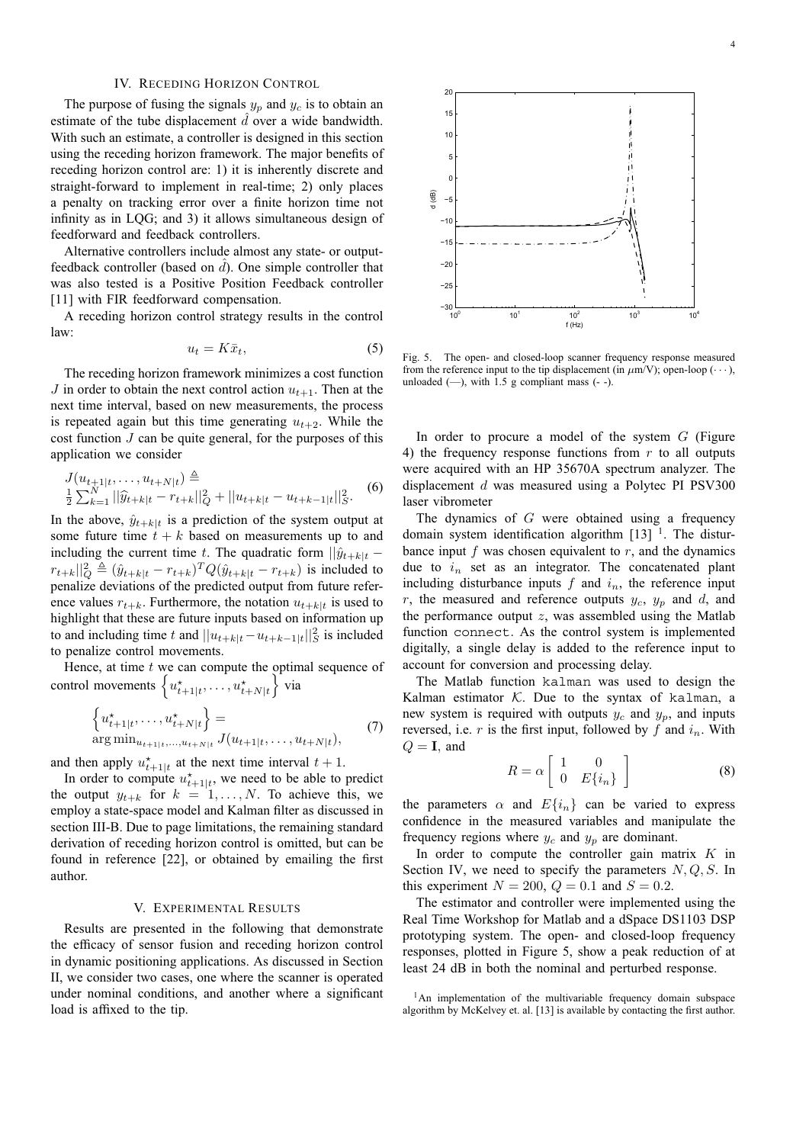## IV. RECEDING HORIZON CONTROL

The purpose of fusing the signals  $y_p$  and  $y_c$  is to obtain an estimate of the tube displacement  $\hat{d}$  over a wide bandwidth. With such an estimate, a controller is designed in this section using the receding horizon framework. The major benefits of receding horizon control are: 1) it is inherently discrete and straight-forward to implement in real-time; 2) only places a penalty on tracking error over a finite horizon time not infinity as in LQG; and 3) it allows simultaneous design of feedforward and feedback controllers.

Alternative controllers include almost any state- or outputfeedback controller (based on  $\hat{d}$ ). One simple controller that was also tested is a Positive Position Feedback controller [11] with FIR feedforward compensation.

A receding horizon control strategy results in the control law:

$$
u_t = K\bar{x}_t,\t\t(5)
$$

The receding horizon framework minimizes a cost function J in order to obtain the next control action  $u_{t+1}$ . Then at the next time interval, based on new measurements, the process is repeated again but this time generating  $u_{t+2}$ . While the cost function  $J$  can be quite general, for the purposes of this application we consider

$$
J(u_{t+1|t},...,u_{t+N|t}) \triangleq
$$
  

$$
\frac{1}{2} \sum_{k=1}^{N} ||\widehat{y}_{t+k|t} - r_{t+k}||_{Q}^{2} + ||u_{t+k|t} - u_{t+k-1|t}||_{S}^{2}.
$$
 (6)

In the above,  $\hat{y}_{t+k|t}$  is a prediction of the system output at some future time  $t + k$  based on measurements up to and including the current time t. The quadratic form  $||\hat{y}_{t+k}|$  –  $|r_{t+k}||_Q^2 \triangleq (\hat{y}_{t+k|t} - r_{t+k})^T Q(\hat{y}_{t+k|t} - r_{t+k})$  is included to penalize deviations of the predicted output from future referpenalize deviations of the predicted output from future reference values  $r_{t+k}$ . Furthermore, the notation  $u_{t+k|t}$  is used to highlight that these are future inputs based on information up to and including time t and  $||u_{t+k|t} - u_{t+k-1|t}||_S^2$  is included to penalize control movements.

Hence, at time  $t$  we can compute the optimal sequence of control movements  $\left\{ u_{t+1|t}^*, \ldots, u_{t+N|t}^* \right\}$  $\int$ via

$$
\begin{cases} u_{t+1|t}^*, \dots, u_{t+N|t}^* \end{cases} = \arg \min_{u_{t+1|t}, \dots, u_{t+N|t}} J(u_{t+1|t}, \dots, u_{t+N|t}), \tag{7}
$$

and then apply  $u_{t+1|t}^*$  at the next time interval  $t + 1$ .<br>In order to compute  $u^*$  we need to be able to

In order to compute  $u_{t+1|t}^*$ , we need to be able to predict the output  $y_{t+k}$  for  $k = 1, ..., N$ . To achieve this, we employ a state-space model and Kalman filter as discussed in section III-B. Due to page limitations, the remaining standard derivation of receding horizon control is omitted, but can be found in reference [22], or obtained by emailing the first author.

## V. EXPERIMENTAL RESULTS

Results are presented in the following that demonstrate the efficacy of sensor fusion and receding horizon control in dynamic positioning applications. As discussed in Section II, we consider two cases, one where the scanner is operated under nominal conditions, and another where a significant load is affixed to the tip.



Fig. 5. The open- and closed-loop scanner frequency response measured from the reference input to the tip displacement (in  $\mu$ m/V); open-loop (···), unloaded  $(-)$ , with 1.5 g compliant mass  $(-)$ .

In order to procure a model of the system  $G$  (Figure 4) the frequency response functions from  $r$  to all outputs were acquired with an HP 35670A spectrum analyzer. The displacement d was measured using a Polytec PI PSV300 laser vibrometer

The dynamics of G were obtained using a frequency domain system identification algorithm  $[13]$ <sup>1</sup>. The disturbance input  $f$  was chosen equivalent to  $r$ , and the dynamics due to  $i_n$  set as an integrator. The concatenated plant including disturbance inputs  $f$  and  $i_n$ , the reference input  $r$ , the measured and reference outputs  $y_c$ ,  $y_p$  and d, and the performance output  $z$ , was assembled using the Matlab function connect. As the control system is implemented digitally, a single delay is added to the reference input to account for conversion and processing delay.

The Matlab function kalman was used to design the Kalman estimator  $K$ . Due to the syntax of kalman, a new system is required with outputs  $y_c$  and  $y_p$ , and inputs reversed, i.e. r is the first input, followed by f and  $i_n$ . With  $Q = I$ , and

$$
R = \alpha \left[ \begin{array}{cc} 1 & 0 \\ 0 & E\{i_n\} \end{array} \right] \tag{8}
$$

the parameters  $\alpha$  and  $E\{i_n\}$  can be varied to express confidence in the measured variables and manipulate the frequency regions where  $y_c$  and  $y_p$  are dominant.

In order to compute the controller gain matrix  $K$  in Section IV, we need to specify the parameters  $N, Q, S$ . In this experiment  $N = 200$ ,  $Q = 0.1$  and  $S = 0.2$ .

The estimator and controller were implemented using the Real Time Workshop for Matlab and a dSpace DS1103 DSP prototyping system. The open- and closed-loop frequency responses, plotted in Figure 5, show a peak reduction of at least 24 dB in both the nominal and perturbed response.

<sup>&</sup>lt;sup>1</sup>An implementation of the multivariable frequency domain subspace algorithm by McKelvey et. al. [13] is available by contacting the first author.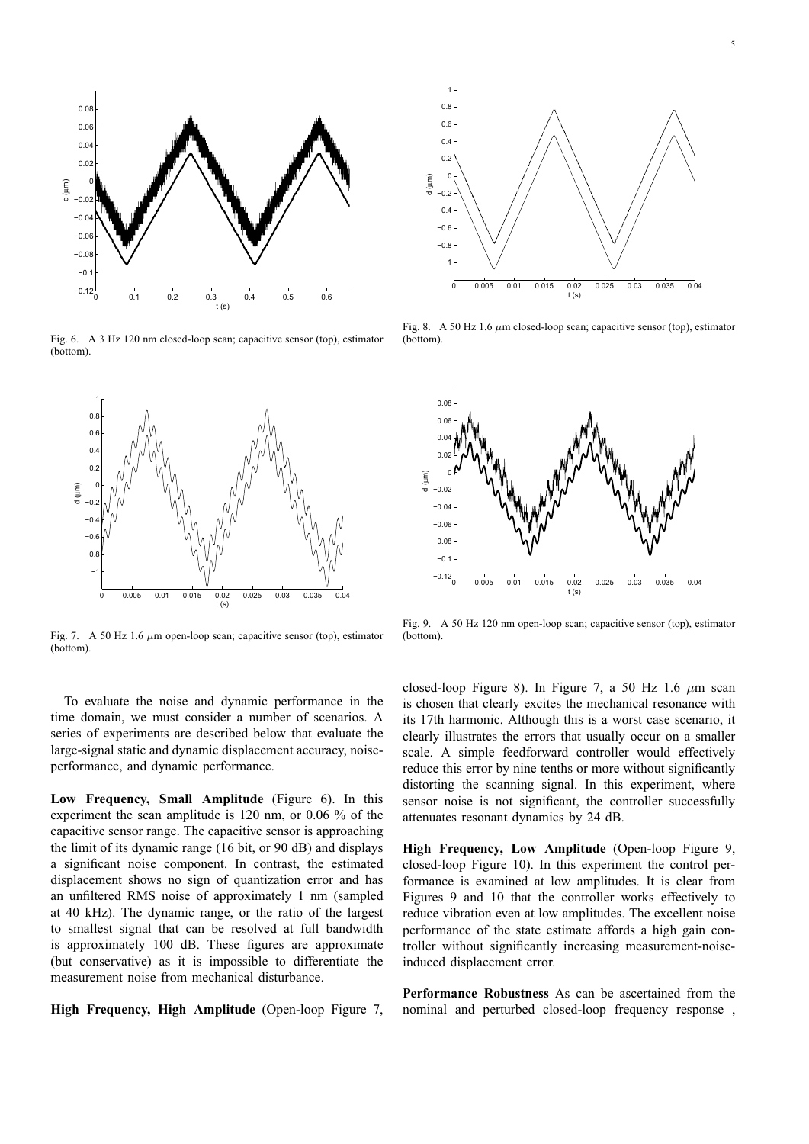

Fig. 6. A 3 Hz 120 nm closed-loop scan; capacitive sensor (top), estimator (bottom).



Fig. 7. A 50 Hz 1.6  $\mu$ m open-loop scan; capacitive sensor (top), estimator (bottom).

To evaluate the noise and dynamic performance in the time domain, we must consider a number of scenarios. A series of experiments are described below that evaluate the large-signal static and dynamic displacement accuracy, noiseperformance, and dynamic performance.

**Low Frequency, Small Amplitude** (Figure 6). In this experiment the scan amplitude is 120 nm, or 0.06 % of the capacitive sensor range. The capacitive sensor is approaching the limit of its dynamic range (16 bit, or 90 dB) and displays a significant noise component. In contrast, the estimated displacement shows no sign of quantization error and has an unfiltered RMS noise of approximately 1 nm (sampled at 40 kHz). The dynamic range, or the ratio of the largest to smallest signal that can be resolved at full bandwidth is approximately 100 dB. These figures are approximate (but conservative) as it is impossible to differentiate the measurement noise from mechanical disturbance.

**High Frequency, High Amplitude** (Open-loop Figure 7,



Fig. 8. A 50 Hz 1.6  $\mu$ m closed-loop scan; capacitive sensor (top), estimator (bottom).



Fig. 9. A 50 Hz 120 nm open-loop scan; capacitive sensor (top), estimator (bottom).

closed-loop Figure 8). In Figure 7, a 50 Hz 1.6  $\mu$ m scan is chosen that clearly excites the mechanical resonance with its 17th harmonic. Although this is a worst case scenario, it clearly illustrates the errors that usually occur on a smaller scale. A simple feedforward controller would effectively reduce this error by nine tenths or more without significantly distorting the scanning signal. In this experiment, where sensor noise is not significant, the controller successfully attenuates resonant dynamics by 24 dB.

**High Frequency, Low Amplitude** (Open-loop Figure 9, closed-loop Figure 10). In this experiment the control performance is examined at low amplitudes. It is clear from Figures 9 and 10 that the controller works effectively to reduce vibration even at low amplitudes. The excellent noise performance of the state estimate affords a high gain controller without significantly increasing measurement-noiseinduced displacement error.

**Performance Robustness** As can be ascertained from the nominal and perturbed closed-loop frequency response ,